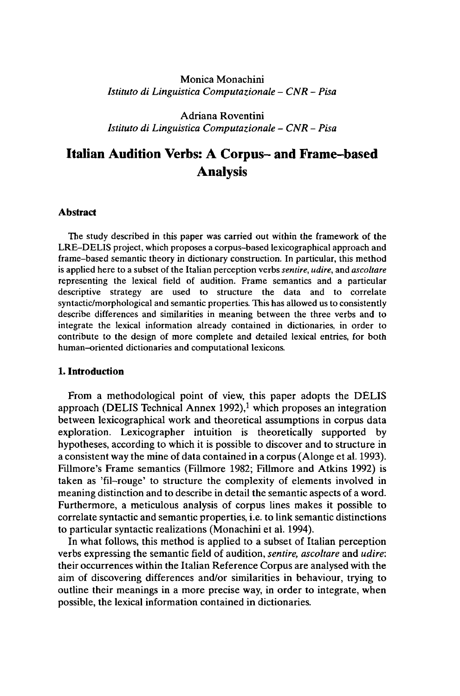## Monica Monachini *Istituto di Linguistica Computazionale - CNR - Pisa*

Adriana Roventini *Istituto di Linguistica Computazionale - CNR - Pisa*

# **Italian Audition Verbs: A Corpus- and Frame-based Analysis**

#### **Abstract**

The study described in this paper was carried out within the framework of the LRE-DELIS project, which proposes a corpus-based lexicographical approach and frame-based semantic theory in dictionary construction. In particular, this method is applied here to a subset of the Italian perception verbs *sentire, udire,* and *ascoltare* representing the lexical field of audition. Frame semantics and a particular descriptive strategy are used to structure the data and to correlate syntactic/morphological and semantic properties. This has allowed us to consistently describe differences and similarities in meaning between the three verbs and to integrate the lexical information already contained in dictionaries, in order to contribute to the design of more complete and detailed lexical entries, for both human-oriented dictionaries and computational lexicons.

#### **1. Introduction**

From a methodological point of view, this paper adopts the DELIS approach (DELIS Technical Annex 1992),<sup>1</sup> which proposes an integration between lexicographical work and theoretical assumptions in corpus data exploration. Lexicographer intuition is theoretically supported by hypotheses, according to which it is possible to discover and to structure in a consistent way the mine of data contained in a corpus (Alonge et al. 1993). Fillmore's Frame semantics (Fillmore 1982; Fillmore and Atkins 1992) is taken as 'fil-rouge' to structure the complexity of elements involved in meaning distinction and to describe in detail the semantic aspects of a word. Furthermore, a meticulous analysis of corpus lines makes it possible to correlate syntactic and semantic properties, i.e. to link semantic distinctions to particular syntactic realizations (Monachini et al. 1994).

In what follows, this method is applied to a subset of Italian perception verbs expressing the semantic field of audition, *sentire, ascoltare* and *udire:* their occurrences within the Italian Reference Corpus are analysed with the aim of discovering differences and/or similarities in behaviour, trying to outline their meanings in a more precise way, in order to integrate, when possible, the lexical information contained in dictionaries.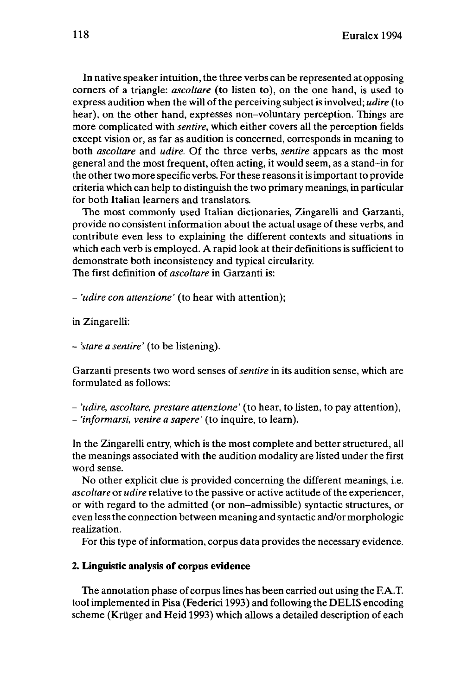In native speaker intuition, the three verbs can be represented at opposing corners of a triangle: *ascoltare* (to listen to), on the one hand, is used to express audition when the will of the perceiving subject is involved; *udire* (to hear), on the other hand, expresses non-voluntary perception. Things are more complicated with *sentire,* which either covers all the perception fields except vision or, as far as audition is concerned, corresponds in meaning to both *ascoltare* and *udire.* Of the three verbs, *sentire* appears as the most general and the most frequent, often acting, it would seem, as a stand-in for the other two more specific verbs. For these reasons it is important to provide criteria which can help to distinguish the two primary meanings, in particular for both Italian learners and translators.

The most commonly used Italian dictionaries, Zingarelli and Garzanti, provide no consistent information about the actual usage of these verbs, and contribute even less to explaining the different contexts and situations in which each verb is employed. A rapid look at their definitions is sufficient to demonstrate both inconsistency and typical circularity.

The first definition of *ascoltare* in Garzanti is:

- *'udire con attenzione'* (to hear with attention);

in Zingarelli:

- *'stare <sup>a</sup> sentire'* (to be listening).

Garzanti presents two word senses of*sentire* in its audition sense, which are formulated as follows:

- *'udire, ascoltare, prestare attenzione'* (to hear, to listen, to pay attention),

- *'informarsi, venire a sapere'* (to inquire, to learn).

In the Zingarelli entry, which is the most complete and better structured, all the meanings associated with the audition modality are listed under the first word sense.

No other explicit clue is provided concerning the different meanings, i.e. *ascoltare* or *udire* relative to the passive or active actitude of the experiencer, or with regard to the admitted (or non-admissible) syntactic structures, or even lessthe connection between meaning and syntactic and/or morphologic realization.

For this type of information, corpus data provides the necessary evidence.

#### **2. Linguistic analysis of corpus evidence**

The annotation phase of corpus lines has been carried out using the F.A.T. toolimplemented in Pisa (Federici 1993) and following the DELIS encoding scheme (Krüger and Heid 1993) which allows a detailed description of each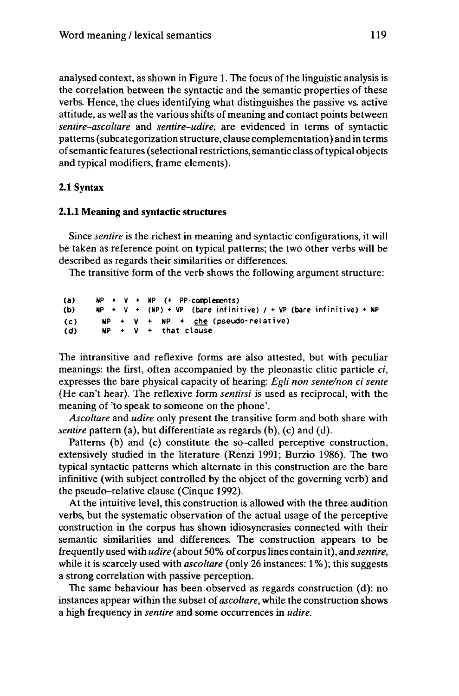analysed context, as shown in Figure 1. The focus of the linguistic analysis is the correlation between the syntactic and the semantic properties of these verbs. Hence, the clues identifying what distinguishes the passive vs. active attitude, as well as the various shifts of meaning and contact points between *sentire-ascoltare* and *sentire-udire,* are evidenced in terms of syntactic patterns(subcategorization structure, clause complementation) and in terms of semantic features (selectional restrictions, semantic class of typical objects and typical modifiers, frame elements).

#### **2.1 Syntax**

#### **2.1.1 Meaning and syntactic structures**

Since *sentire* is the richest in meaning and syntactic configurations, it will be taken as reference point on typical patterns; the two other verbs will be described as regards their similarities or differences.

The transitive form of the verb shows the following argument structure:

| (a) |  |  | $NP + V + NP$ (+ PP-complements)                                     |
|-----|--|--|----------------------------------------------------------------------|
| (b) |  |  | $NP + V + (NP) + VP$ (bare infinitive) / + VP (bare infinitive) + NP |
| (c) |  |  | $NP + V + NP + che (pseudo-relative)$                                |
| (d) |  |  | $NP + V + that clause$                                               |

The intransitive and reflexive forms are also attested, but with peculiar meanings: the first, often accompanied by the pleonastic clitic particle *ci,* expresses the bare physical capacity of hearing: *Egli non sente/non ci sente* (He can't hear). The reflexive form *sentirsi* is used as reciprocal, with the meaning of 'to speak to someone on the phone'.

*Ascoltare* and *udire* only present the transitive form and both share with *sentire* pattern (a), but differentiate as regards (b), (c) and (d).

Patterns (b) and (c) constitute the so-called perceptive construction, extensively studied in the literature (Renzi 1991; Burzio 1986). The two typical syntactic patterns which alternate in this construction are the bare infinitive (with subject controlled by the object of the governing verb) and the pseudo-relative clause (Cinque 1992).

At the intuitive level, this construction is allowed with the three audition verbs, but the systematic observation of the actual usage of the perceptive construction in the corpus has shown idiosyncrasies connected with their semantic similarities and differences. The construction appears to be frequently used with *udire* (about 50% of corpus lines contain it), and *sentire,* while it is scarcely used with *ascoltare* (only 26 instances: 1%); this suggests a strong correlation with passive perception.

The same behaviour has been observed as regards construction (d): no instances appear within the subset of *ascoltare,* while the construction shows a high frequency in *sentire* and some occurrences in *udire.*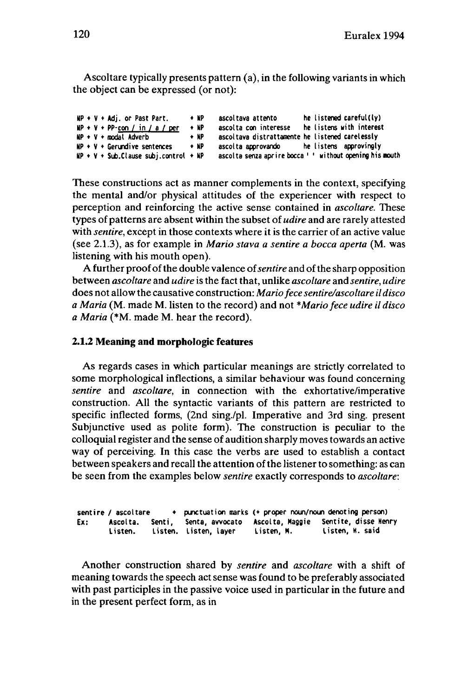Ascoltare typically presents pattern (a), in the following variants in which the object can be expressed (or not):

| $MP + V + Adj$ , or Past Part,              | $+ NP$ | ascoltava attento                               | he listened careful(ly)                                  |
|---------------------------------------------|--------|-------------------------------------------------|----------------------------------------------------------|
| $MP + V + PP$ -con / in / a / per           | $+ NP$ | ascolta con interesse                           | he listens with interest                                 |
| $NP + V + \text{model}$ Adverb              | $+ NP$ | ascoltava distrattamente he listened carelessly |                                                          |
| $NP + V + Gerundive sentences$              | $+ NP$ | ascolta approvando be listens approvingly       |                                                          |
| $NP + V + Sub$ . Clause subj.control + $NP$ |        |                                                 | ascolta senza aprire bocca ' ' without opening his mouth |

These constructions act as manner complements in the context, specifying the mental and/or physical attitudes of the experiencer with respect to perception and reinforcing the active sense contained in *ascoltare.* These types of patterns are absent within the subset of *udire* and are rarely attested with *sentire,* except in those contexts where it is the carrier of an active value (see 2.1.3), as for example in *Mario stava a sentire a bocca aperta* (M. was listening with his mouth open).

A further proofofthe double valence of*sentire* and ofthe sharp opposition between *ascoltare* and *udire* is the fact that, unlike *ascoltare* and *sentire, udire* does not allow the causative construction: *Mariofece sentire/ascoltare ildisco a Maria* (M. made M. listen to the record) and not *\*Mario fece udire il disco a Maria* (\*M. made M. hear the record).

### **2.1.2 Meaning and morphologic features**

As regards cases in which particular meanings are strictly correlated to some morphological inflections, a similar behaviour was found concerning *sentire* and *ascoltare,* in connection with the exhortative/imperative construction. All the syntactic variants of this pattern are restricted to specific inflected forms, (2nd sing./pl. Imperative and 3rd sing, present Subjunctive used as polite form). The construction is peculiar to the colloquial register and the sense of audition sharply moves towards an active way of perceiving. In this case the verbs are used to establish a contact between speakers and recall the attention of the listener to something: as can be seen from the examples below *sentire* exactly corresponds to *ascoltare:*

|     | sentire / ascoltare |                       |            | + punctuation marks (+ proper noun/noun denoting person)                                |
|-----|---------------------|-----------------------|------------|-----------------------------------------------------------------------------------------|
| Ex: | Listen.             | Listen, Listen, layer | Listen. M. | Ascolta. Senti, Senta, avvocato Ascolta, Maggie Sentite, disse Henry<br>Listen, H. said |

Another construction shared by *sentire* and *ascoltare* with a shift of meaning towards the speech act sense was found to be preferably associated with past participles in the passive voice used in particular in the future and in the present perfect form, as in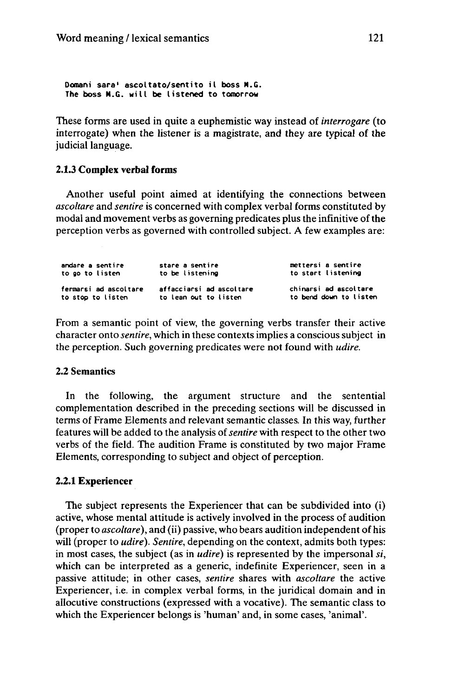**Domani sara' ascoltato/sentito il boss M.G. The boss M.G. will be listened to tomorrow**

These forms are used in quite a euphemistic way instead of *interrogare* (to interrogate) when the listener is a magistrate, and they are typical of the judicial language.

#### **2.1.3 Complex verbal forms**

Another useful point aimed at identifying the connections between *ascoltare* and *sentire* is concerned with complex verbal forms constituted by modal and movement verbs as governing predicates plus the infinitive of the perception verbs as governed with controlled subject. A few examples are:

| andare a sentire      | stare a sentire          | mettersi a sentire     |
|-----------------------|--------------------------|------------------------|
| to go to listen       | to be listening          | to start listening     |
| fermarsi ad ascoltare | affacciarsi ad ascoltare | chinarsi ad ascoltare  |
| to stop to listen     | to lean out to listen    | to bend down to listen |

From a semantic point of view, the governing verbs transfer their active character onto *sentire,* which in these contexts implies a conscious subject in the perception. Such governing predicates were not found with *udire.*

#### **2.2 Semantics**

In the following, the argument structure and the sentential complementation described in the preceding sections will be discussed in terms of Frame Elements and relevant semantic classes. In this way, further features will be added to the analysis of*sentire* with respect to the other two verbs of the field. The audition Frame is constituted by two major Frame Elements, corresponding to subject and object of perception.

#### **2.2.1 Experiencer**

The subject represents the Experiencer that can be subdivided into (i) active, whose mental attitude is actively involved in the process of audition (proper to *ascoltare),* and (ii) passive, who bears audition independent of his will (proper to *udire). Sentire,* depending on the context, admits both types: in most cases, the subject (as in *udire)* is represented by the impersonal *si,* which can be interpreted as a generic, indefinite Experiencer, seen in a passive attitude; in other cases, *sentire* shares with *ascoltare* the active Experiencer, i.e. in complex verbal forms, in the juridical domain and in allocutive constructions (expressed with a vocative). The semantic class to which the Experiencer belongs is 'human' and, in some cases, 'animal'.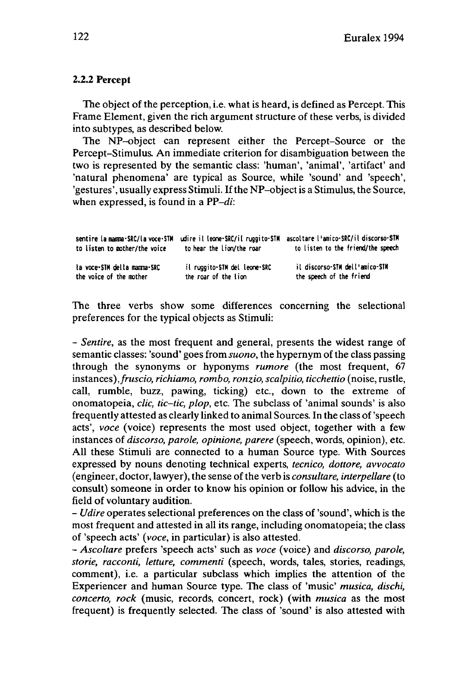## **2.2.2 Percept**

The object of the perception, i.e. what is heard, is defined as Percept. This Frame Element, given the rich argument structure of these verbs, is divided into subtypes, as described below.

The NP-object can represent either the Percept-Source or the Percept-Stimulus. An immediate criterion for disambiguation between the two is represented by the semantic class: 'human', 'animal', 'artifact' and 'natural phenomena' are typical as Source, while 'sound' and 'speech', 'gestures', usually express Stimuli. Ifthe NP-objectis a Stimulus, the Source, when expressed, is found in a *PP-di:*

| to listen to mother/the voice | sentire la mamma-SRC/la voce-STM udire il leone-SRC/il ruggito-STM<br>to hear the lion/the roar | ascoltare l'amico-SRC/il discorso-STM<br>to listen to the friend/the speech |
|-------------------------------|-------------------------------------------------------------------------------------------------|-----------------------------------------------------------------------------|
| la voce-STM della mamma-SRC   | il ruggito-STM del leone-SRC                                                                    | il discorso-STM dell'amico-STM                                              |
| the voice of the mother       | the roar of the lion                                                                            | the speech of the friend                                                    |

The three verbs show some differences concerning the selectional preferences for the typical objects as Stimuli:

- *Sentire,* as the most frequent and general, presents the widest range of semantic classes: 'sound' goes from *suono*, the hypernym of the class passing through the synonyms or hyponyms *rumore* (the most frequent, 67 instances),*fruscio, richiamo, rombo, ronzio, scalpitio, ticchettio* (noise, rustle, call, rumble, buzz, pawing, ticking) etc., down to the extreme of onomatopeia, *clic, tic-tic, plop,* etc. The subclass of 'animal sounds' is also frequently attested as clearly linked to animal Sources. In the class of'speech acts', *voce* (voice) represents the most used object, together with a few instances of *discorso, parole, opinione, parère* (speech, words, opinion), etc. All these Stimuli are connected to a human Source type. With Sources expressed by nouns denoting technical experts, *tecnico, dottore, avvocato* (engineer, doctor, lawyer), the sense ofthe verb is *consultare, interpellare* (to consult) someone in order to know his opinion or follow his advice, in the field of voluntary audition.

- *Udire* operates selectional preferences on the class of 'sound', which is the most frequent and attested in all its range, including onomatopeia; the class of 'speech acts' *(voce,* in particular) is also attested.

- *Ascoltare* prefers 'speech acts' such as *voce* (voice) and *discorso, parole, storie, racconti, letture, commenti* (speech, words, tales, stories, readings, comment), i.e. a particular subclass which implies the attention of the Experiencer and human Source type. The class of 'music' *musica, dischi, concerto, rock* (music, records, concert, rock) (with *musica* as the most frequent) is frequently selected. The class of 'sound' is also attested with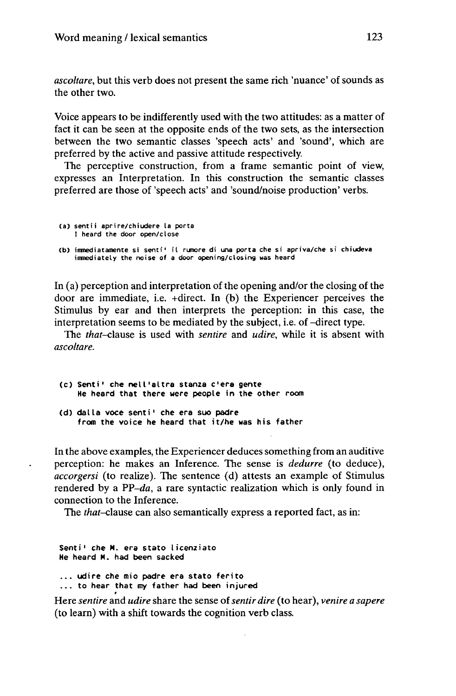*ascoltare,* but this verb does not present the same rich 'nuance' of sounds as the other two.

Voice appears to be indifferently used with the two attitudes: as a matter of fact it can be seen at the opposite ends of the two sets, as the intersection between the two semantic classes 'speech acts' and 'sound', which are preferred by the active and passive attitude respectively.

The perceptive construction, from a frame semantic point of view, expresses an Interpretation. In this construction the semantic classes preferred are those of 'speech acts' and 'sound/noise production' verbs.

```
(a) sent i i aprire/chiudere la porta
    I heard the door open/close
```

```
(b) immediatamente si senti' il rumore di una porta che si apriva/che si chiudeva
    immediately the noise of a door opening/closing was heard
```
In (a) perception and interpretation of the opening and/or the closing of the door are immediate, i.e. +direct. In (b) the Experiencer perceives the Stimulus by ear and then interprets the perception: in this case, the interpretation seems to be mediated by the subject, i.e. of -direct type.

The *that-clause* is used with *sentire* and *udire,* while it is absent with *ascoltare.*

- **(c) Senti' che nell'altra stanza c'era gente He heard that there were people in the other room**
- **(d) dalla voce senti' che era suo padre from the voice he heard that it/he was his father**

In the above examples, the Experiencer deduces something from an auditive perception: he makes an Inference. The sense is *dedurre* (to deduce), *accorgersi* (to realize). The sentence (d) attests an example of Stimulus rendered by a *PP-da,* a rare syntactic realization which is only found in connection to the Inference.

The *that-c\ause* can also semantically express a reported fact, as in:

**Senti' che M. era stato licenziato He heard M. had been sacked ... udire che mio padre era stato ferito ... to hear that my father had been injured**

Here *sentire* and *udire* share the sense of*sentir dire* (to hear), *venire a sapere* (to learn) with a shift towards the cognition verb class.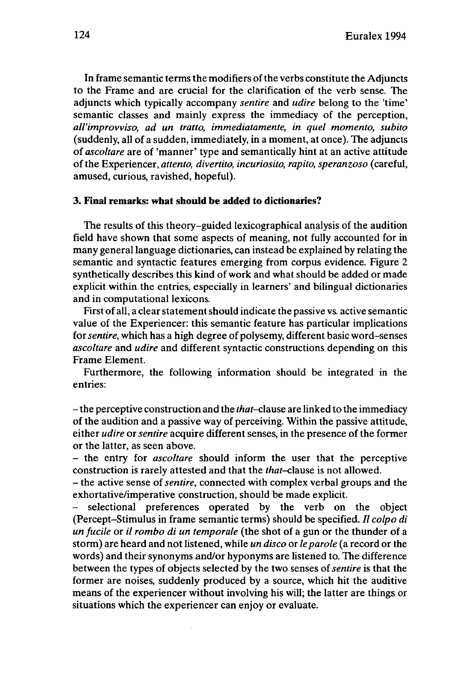In frame semantic terms the modifiers of the verbs constitute the Adjuncts to the Frame and are crucial for the clarification of the verb sense. The adjuncts which typically accompany *sentire* and *udire* belong to the 'time' semantic classes and mainly express the immediacy of the perception, *all'improvviso, ad un tratto, immediatamente, in quel momento, subito* (suddenly, all of a sudden, immediately, in a moment, at once). The adjuncts of *ascoltare* are of 'manner' type and semantically hint at an active attitude of the Experiencer, *attento, divertito, incuriosito, rapito, speranzoso* (careful, amused, curious, ravished, hopeful).

### **3. Final remarks: what should be added to dictionaries?**

The results of this theory-guided lexicographical analysis of the audition field have shown that some aspects of meaning, not fully accounted for in many general language dictionaries, can instead be explained by relating the semantic and syntactic features emerging from corpus evidence. Figure 2 synthetically describes this kind of work and what should be added or made explicit within the entries, especially in learners' and bilingual dictionaries and in computational lexicons.

First of all, a clear statement should indicate the passive vs. active semantic value of the Experiencer: this semantic feature has particular implications for*sentire,* which has a high degree of polysemy, different basic word-senses *ascoltare* and *udire* and different syntactic constructions depending on this Frame Element.

Furthermore, the following information should be integrated in the entries:

-the perceptive construction and the *that-clause* are linked to the immediacy of the audition and a passive way of perceiving. Within the passive attitude, either *udire* or*sentire* acquire different senses, in the presence of the former or the latter, as seen above.

- the entry for *ascoltare* should inform the user that the perceptive construction is rarely attested and that the *that-clause* is not allowed.

- the active sense of*sentire,* connected with complex verbal groups and the exhortative/imperative construction, should be made explicit.

selectional preferences operated by the verb on the object (Percept-Stimulus in frame semantic terms) should be specified. // *colpo di un fucile* or *il rombo di un temporale* (the shot of a gun or the thunder of a storm) are heard and not listened, while *un disco* or *le parole* (a record or the words) and their synonyms and/or hyponyms are listened to. The difference between the types of objects selected by the two senses of*sentire* is that the former are noises, suddenly produced by a source, which hit the auditive means of the experiencer without involving his will; the latter are things or situations which the experiencer can enjoy or evaluate.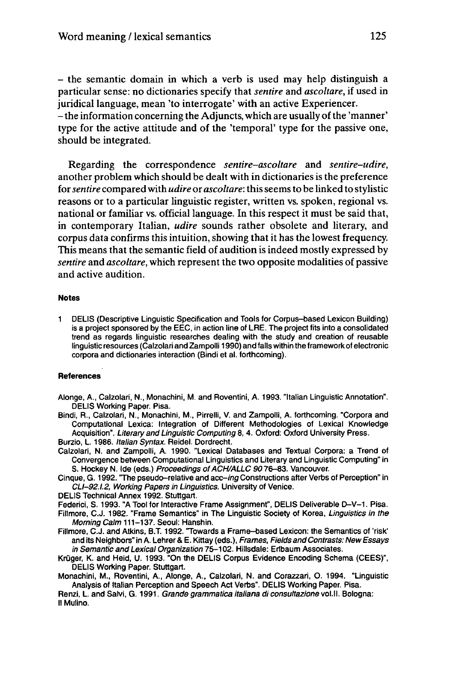- the semantic domain in which <sup>a</sup> verb is used may help distinguish <sup>a</sup> particular sense: no dictionaries specify that *sentire* and *ascoltare,* if used in juridical language, mean 'to interrogate' with an active Experiencer.

-the information concerning the Adjuncts, which are usually of the 'manner' type for the active attitude and of the 'temporal' type for the passive one, should be integrated.

Regarding the correspondence *sentire•ascoltare* and *sentire-udire,* another problem which should be dealt with in dictionaries is the preference for*sentire* compared with *udire* or *ascoltare:* thisseemsto be linked to stylistic reasons or to a particular linguistic register, written vs. spoken, regional vs. national or familiar vs. official language. In this respect it must be said that, in contemporary Italian, *udire* sounds rather obsolete and literary, and corpus data confirms this intuition, showing that it has the lowest frequency. This means that the semantic field of audition is indeed mostly expressed by *sentire* and *ascoltare*, which represent the two opposite modalities of passive and active audition.

#### **Notes**

I DELIS (Descriptive Linguistic Specification and Tools for Corpus-based Lexicon Building) is a project sponsored by the EEC, in action line of LRE. The project fits into a consolidated trend as regards linguistic researches dealing with the study and creation of reusable linguistic resources (Calzolari and Zampolli 1990) and falls within the framework of electronic corpora and dictionaries interaction (Bindi et al. forthcoming).

#### **References**

Alonge, A., Calzolari, N., Monachini, M. and Roventini, A. 1993. "Italian Linguistic Annotation". DELIS Working Paper. Pisa.

Bindi, R., Calzolari, N., Monachini, M., Pirrelli, V. and Zampolli, A. forthcoming. "Corpora and Computational Lexica: Integration of Different Methodologies of Lexical Knowledge Acquisition". Literary and Linguistic Computing 8, 4. Oxford: Oxford University Press. Burzio, L. 1986. Italian Syntax. Reidel. Dordrecht.

Calzolari, N. and Zampolli, A. 1990. "Lexical Databases and Textual Corpora: a Trend of Convergence between Computational Linguistics and Literary and Linguistic Computing" in S. Hockey N. Ide (eds.) Proceedings of ACH/ALLC 9076-83. Vancouver.

Cinque, G. 1992. The pseudo-relative and acc-ing Constructions after Verbs of Perception" in CLI-92.1.2, Working Papers in Linguistics. University of Venice.

DELIS Technical Annex 1992. Stuttgart.

Federici, S. 1993. "A Tool for Interactive Frame Assignment", DELIS Deliverable D-V-1. Pisa.

Fillmore, C.J. 1982. "Frame Semantics" in The Linguistic Society of Korea, Linguistics in the Morning Calm 111-137. Seoul: Hanshin.

Fillmore, C.J. and Atkins, B.T. 1992. Towards a Frame-based Lexicon: the Semantics of 'risk' and its Neighbors" in A. Lehrer & E. Kittay (eds.), Frames, Fields and Contrasts: New Essays in Semantic and Lexical Organization 75-102. Hillsdale: Erlbaum Associates.

Krüger, K. and Heid, U. 1993. "On the DELIS Corpus Evidence Encoding Schema (CEES)", DELIS Working Paper. Stuttgart.

Monachini, M., Roventini, A., Alonge, A., Calzolari, N. and Corazzari, O. 1994. "Linguistic Analysis of Italian Perception and Speech Act Verbs". DELIS Working Paper. Pisa.

Renzi, L. and Salvi, G. 1991. Grande grammatica italiana di consultazione vol. Il. Bologna: II Mulino.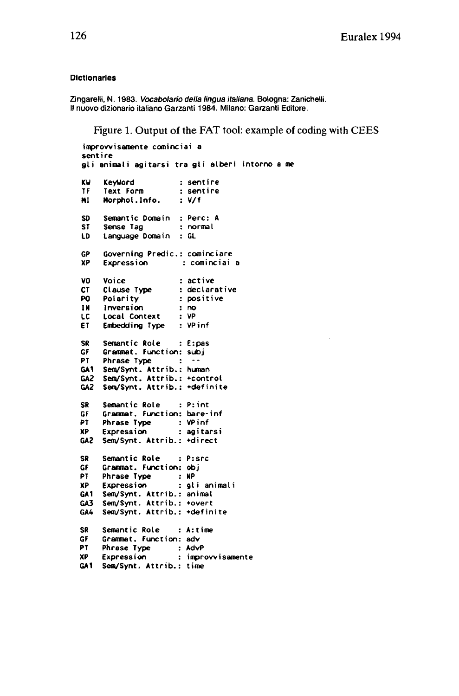#### **Dictionaries**

Zingarelli, N. 1983. Vocabolario della lingua italiana. Bologna: Zanichelli. Il nuovo dizionario italiano Garzanti 1984. Milano: Garzanti Editore.

Figure 1. Output of the FAT tool: example of coding with CEES

```
improwisamente cominciai a
senti re
gli animal i agi tars i tra gl i alberi intorno a me
KU Keyword
TF Text Form
HI Morphol.lnfo.
: v/f
                    : sent i re
                  : sent i re
SO Semantic Domain : Perc: A
ST Sense Tag : normal
    ID Language Domain : GL
GP Governing Predic: cominciare
    XP Expression : cominciai a
vo Voice : active
CT Clause Type : declarative
PO Polarity : positive
IN Inversion : no
LC Local Context : VP
ET Embedding Type : VPinf
SR Semantic Role : E:pas
GF Grammat. Function: subj
    Phrase Type : \cdotGA1 Sem/Synt. Attrib.: human
GA2 Sem/Synt. Attrib.: »control
GA2 Sem/Synt. Attrib.: »definite
SR Semantic Role : Print
GF Grammat. Function: bare-inf
PT Phrase Type : VPinf
XP Expression : agi tars i
GA2 Sem/Synt. Attrib.: »direct
SR
GF
PT
XP
GA1
Sem/Synt. Attrib.:
animal
GA3
Sem/Synt. Attrib.:
»overt
GAA
Sem/Synt. Attrib.:
»definite
    Semantic Role P:src
    Grammat. Function: obj
     Phrase Type
     Expression
                      NP
                      gli animal i
SR Semantic Role : A:time
GF Grammat. Function: adv
PT Phrase Type : AdvP
                   XP Expression : improwisamente
GA1 Sem/Synt. Attrib.: time
```